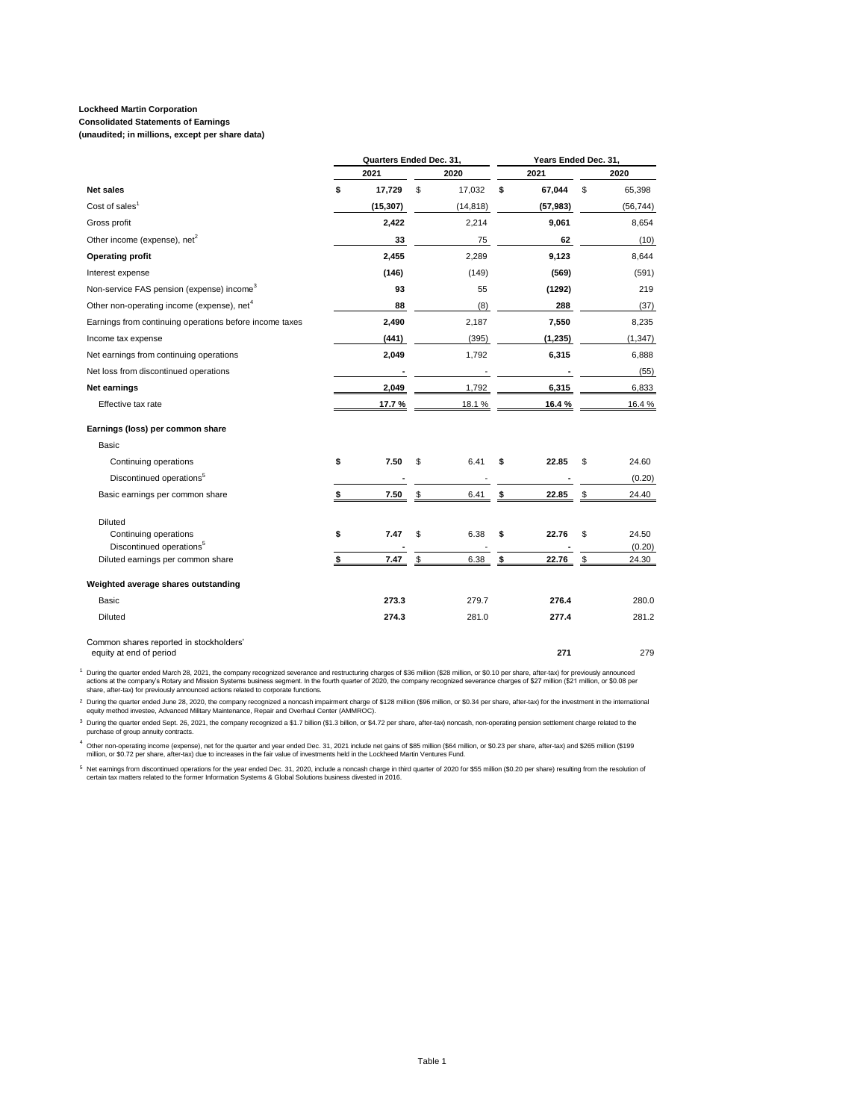### **Consolidated Statements of Earnings**

**(unaudited; in millions, except per share data)**

|                                                                    | Quarters Ended Dec. 31, |           |               |           | Years Ended Dec. 31, |    |                 |  |  |
|--------------------------------------------------------------------|-------------------------|-----------|---------------|-----------|----------------------|----|-----------------|--|--|
|                                                                    |                         | 2021      |               | 2020      | 2021                 |    | 2020            |  |  |
| <b>Net sales</b>                                                   | \$                      | 17,729    | \$            | 17,032    | \$<br>67,044         | \$ | 65,398          |  |  |
| Cost of sales <sup>1</sup>                                         |                         | (15, 307) |               | (14, 818) | (57, 983)            |    | (56, 744)       |  |  |
| Gross profit                                                       |                         | 2,422     |               | 2,214     | 9,061                |    | 8,654           |  |  |
| Other income (expense), net <sup>2</sup>                           |                         | 33        |               | 75        | 62                   |    | (10)            |  |  |
| <b>Operating profit</b>                                            |                         | 2,455     |               | 2,289     | 9,123                |    | 8,644           |  |  |
| Interest expense                                                   |                         | (146)     |               | (149)     | (569)                |    | (591)           |  |  |
| Non-service FAS pension (expense) income <sup>3</sup>              |                         | 93        |               | 55        | (1292)               |    | 219             |  |  |
| Other non-operating income (expense), net <sup>4</sup>             |                         | 88        |               | (8)       | 288                  |    | (37)            |  |  |
| Earnings from continuing operations before income taxes            |                         | 2,490     |               | 2,187     | 7,550                |    | 8,235           |  |  |
| Income tax expense                                                 |                         | (441)     |               | (395)     | (1, 235)             |    | (1, 347)        |  |  |
| Net earnings from continuing operations                            |                         | 2,049     |               | 1,792     | 6,315                |    | 6,888           |  |  |
| Net loss from discontinued operations                              |                         |           |               |           |                      |    | (55)            |  |  |
| Net earnings                                                       |                         | 2,049     |               | 1,792     | 6,315                |    | 6,833           |  |  |
| Effective tax rate                                                 |                         | 17.7%     |               | 18.1%     | 16.4%                |    | 16.4%           |  |  |
| Earnings (loss) per common share                                   |                         |           |               |           |                      |    |                 |  |  |
| Basic                                                              |                         |           |               |           |                      |    |                 |  |  |
| Continuing operations                                              | \$                      | 7.50      | \$            | 6.41      | \$<br>22.85          | \$ | 24.60           |  |  |
| Discontinued operations <sup>5</sup>                               |                         |           |               |           |                      |    | (0.20)          |  |  |
| Basic earnings per common share                                    |                         | 7.50      | \$            | 6.41      | \$<br>22.85          | \$ | 24.40           |  |  |
| <b>Diluted</b>                                                     |                         |           |               |           |                      |    |                 |  |  |
| Continuing operations<br>Discontinued operations <sup>5</sup>      | \$                      | 7.47      | \$            | 6.38      | \$<br>22.76          | \$ | 24.50<br>(0.20) |  |  |
| Diluted earnings per common share                                  | \$                      | 7.47      | $\sqrt[6]{3}$ | 6.38      | \$<br>22.76          | \$ | 24.30           |  |  |
| Weighted average shares outstanding                                |                         |           |               |           |                      |    |                 |  |  |
| Basic                                                              |                         | 273.3     |               | 279.7     | 276.4                |    | 280.0           |  |  |
| <b>Diluted</b>                                                     |                         | 274.3     |               | 281.0     | 277.4                |    | 281.2           |  |  |
| Common shares reported in stockholders'<br>equity at end of period |                         |           |               |           | 271                  |    | 279             |  |  |

1 During the quarter ended March 28, 2021, the company recognized severance and restructuring charges of \$36 million, \$23 million, or \$0.10 per share, after-tax) for previously announced<br>actions at the company's Rotary and

2 During the quarter ended June 28, 2020, the company recognized a noncash impairment charge of \$128 million (\$96 million, or \$0.34 per share, after-tax) for the investment in the international<br>equity method investee, Adva

<sup>3</sup> During the quarter ended Sept. 26, 2021, the company recognized a \$1.7 billion (\$1.3 billion, or \$4.72 per share, after-tax) noncash, non-operating pension settlement charge related to the purchase of group annuity contra

4 Other non-operating income (expense), net for the quarter and year ended Dec. 31, 2021 include net gains of \$85 million (\$64 million, or \$0.23 per share, after-tax) and \$265 million (\$199<br>million, or \$0.72 per share, aft

5 Net earnings from discontinued operations for the year ended Dec. 31, 2020, include a noncash charge in third quarter of 2020 for \$55 million (\$0.20 per share) resulting from the resolution of<br>certain tax matters related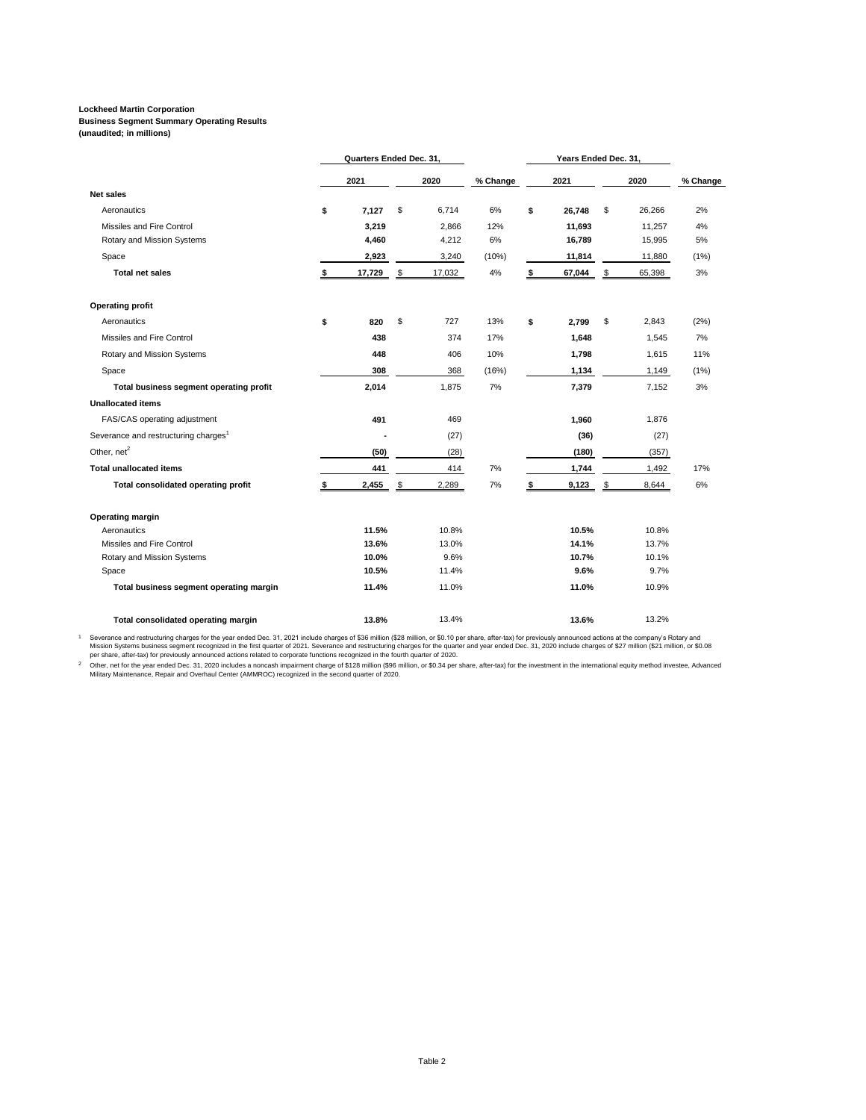## **Business Segment Summary Operating Results**

**(unaudited; in millions)**

|                                                  | Quarters Ended Dec. 31, |        |    |        | Years Ended Dec. 31, |              |              |          |
|--------------------------------------------------|-------------------------|--------|----|--------|----------------------|--------------|--------------|----------|
|                                                  |                         | 2021   |    | 2020   | % Change             | 2021         | 2020         | % Change |
| <b>Net sales</b>                                 |                         |        |    |        |                      |              |              |          |
| Aeronautics                                      | \$                      | 7,127  | \$ | 6,714  | 6%                   | \$<br>26,748 | \$<br>26,266 | 2%       |
| Missiles and Fire Control                        |                         | 3.219  |    | 2,866  | 12%                  | 11,693       | 11,257       | 4%       |
| Rotary and Mission Systems                       |                         | 4,460  |    | 4,212  | 6%                   | 16,789       | 15,995       | 5%       |
| Space                                            |                         | 2,923  |    | 3,240  | (10%)                | 11,814       | 11,880       | (1%)     |
| <b>Total net sales</b>                           |                         | 17,729 | \$ | 17,032 | 4%                   | \$<br>67,044 | \$<br>65,398 | 3%       |
| <b>Operating profit</b>                          |                         |        |    |        |                      |              |              |          |
| Aeronautics                                      | \$                      | 820    | \$ | 727    | 13%                  | \$<br>2,799  | \$<br>2,843  | (2%)     |
| Missiles and Fire Control                        |                         | 438    |    | 374    | 17%                  | 1,648        | 1,545        | 7%       |
| Rotary and Mission Systems                       |                         | 448    |    | 406    | 10%                  | 1,798        | 1,615        | 11%      |
| Space                                            |                         | 308    |    | 368    | (16%)                | 1,134        | 1,149        | (1%)     |
| Total business segment operating profit          |                         | 2,014  |    | 1,875  | 7%                   | 7,379        | 7,152        | 3%       |
| <b>Unallocated items</b>                         |                         |        |    |        |                      |              |              |          |
| FAS/CAS operating adjustment                     |                         | 491    |    | 469    |                      | 1,960        | 1,876        |          |
| Severance and restructuring charges <sup>1</sup> |                         |        |    | (27)   |                      | (36)         | (27)         |          |
| Other, net <sup>2</sup>                          |                         | (50)   |    | (28)   |                      | (180)        | (357)        |          |
| <b>Total unallocated items</b>                   |                         | 441    |    | 414    | 7%                   | 1,744        | 1,492        | 17%      |
| Total consolidated operating profit              |                         | 2,455  | \$ | 2,289  | 7%                   | \$<br>9,123  | \$<br>8,644  | 6%       |
| Operating margin                                 |                         |        |    |        |                      |              |              |          |
| Aeronautics                                      |                         | 11.5%  |    | 10.8%  |                      | 10.5%        | 10.8%        |          |
| Missiles and Fire Control                        |                         | 13.6%  |    | 13.0%  |                      | 14.1%        | 13.7%        |          |
| Rotary and Mission Systems                       |                         | 10.0%  |    | 9.6%   |                      | 10.7%        | 10.1%        |          |
| Space                                            |                         | 10.5%  |    | 11.4%  |                      | 9.6%         | 9.7%         |          |
| Total business segment operating margin          |                         | 11.4%  |    | 11.0%  |                      | 11.0%        | 10.9%        |          |
| Total consolidated operating margin              |                         | 13.8%  |    | 13.4%  |                      | 13.6%        | 13.2%        |          |

1 Severance and restructuring charges for the year ended Dec. 31, 2021 include charges of \$36 million (\$28 million, or \$0.10 per share, after-tax) for previously announced actions at the company's Rotary and<br>Mission Systems

Dther, net for the year ended Dec. 31, 2020 includes a noncash impairment charge of \$128 million (\$96 million, or \$0.34 per share, after-tax) for the investment in the international equity method investee, Advanced<br>Militar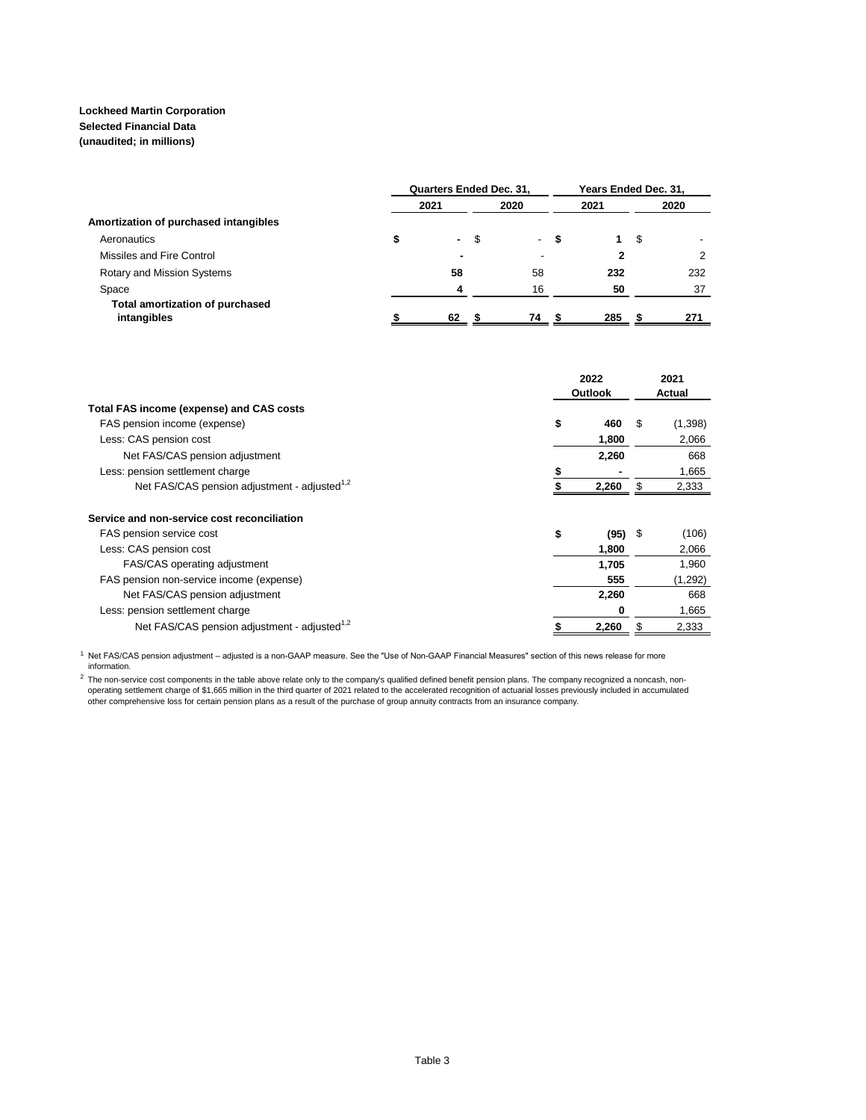### **Lockheed Martin Corporation Selected Financial Data (unaudited; in millions)**

|                                                | <b>Quarters Ended Dec. 31,</b> | Years Ended Dec. 31, |      |                          |   |      |    |      |
|------------------------------------------------|--------------------------------|----------------------|------|--------------------------|---|------|----|------|
|                                                |                                | 2021                 |      | 2020                     |   | 2021 |    | 2020 |
| Amortization of purchased intangibles          |                                |                      |      |                          |   |      |    |      |
| Aeronautics                                    |                                | <b>Contract</b>      | - \$ | $\sim$                   | S |      | \$ |      |
| Missiles and Fire Control                      |                                | $\blacksquare$       |      | $\overline{\phantom{a}}$ |   | 2    |    | 2    |
| <b>Rotary and Mission Systems</b>              |                                | 58                   |      | 58                       |   | 232  |    | 232  |
| Space                                          |                                | 4                    |      | 16                       |   | 50   |    | 37   |
| Total amortization of purchased<br>intangibles |                                | 62                   |      | 74                       |   | 285  |    | 271  |

|                                                          | 2022<br><b>Outlook</b> |           | 2021<br>Actual |  |
|----------------------------------------------------------|------------------------|-----------|----------------|--|
| Total FAS income (expense) and CAS costs                 |                        |           |                |  |
| FAS pension income (expense)                             | \$<br>460              | \$.       | (1,398)        |  |
| Less: CAS pension cost                                   | 1,800                  |           | 2,066          |  |
| Net FAS/CAS pension adjustment                           | 2,260                  |           | 668            |  |
| Less: pension settlement charge                          | ъ                      |           | 1,665          |  |
| Net FAS/CAS pension adjustment - adjusted <sup>1,2</sup> | 2,260                  | \$.       | 2,333          |  |
| Service and non-service cost reconciliation              |                        |           |                |  |
| FAS pension service cost                                 | \$                     | $(95)$ \$ | (106)          |  |
| Less: CAS pension cost                                   | 1,800                  |           | 2,066          |  |
| <b>FAS/CAS operating adjustment</b>                      | 1,705                  |           | 1,960          |  |
| FAS pension non-service income (expense)                 |                        | 555       | (1,292)        |  |
| Net FAS/CAS pension adjustment                           | 2,260                  |           | 668            |  |
| Less: pension settlement charge                          |                        | 0         | 1,665          |  |
| Net FAS/CAS pension adjustment - adjusted <sup>1,2</sup> | 2,260                  |           | 2,333          |  |

 1 Net FAS/CAS pension adjustment – adjusted is a non-GAAP measure. See the "Use of Non-GAAP Financial Measures" section of this news release for more information.

<sup>2</sup> The non-service cost components in the table above relate only to the company's qualified defined benefit pension plans. The company recognized a noncash, non-<br>operating settlement charge of \$1,665 million in the third other comprehensive loss for certain pension plans as a result of the purchase of group annuity contracts from an insurance company.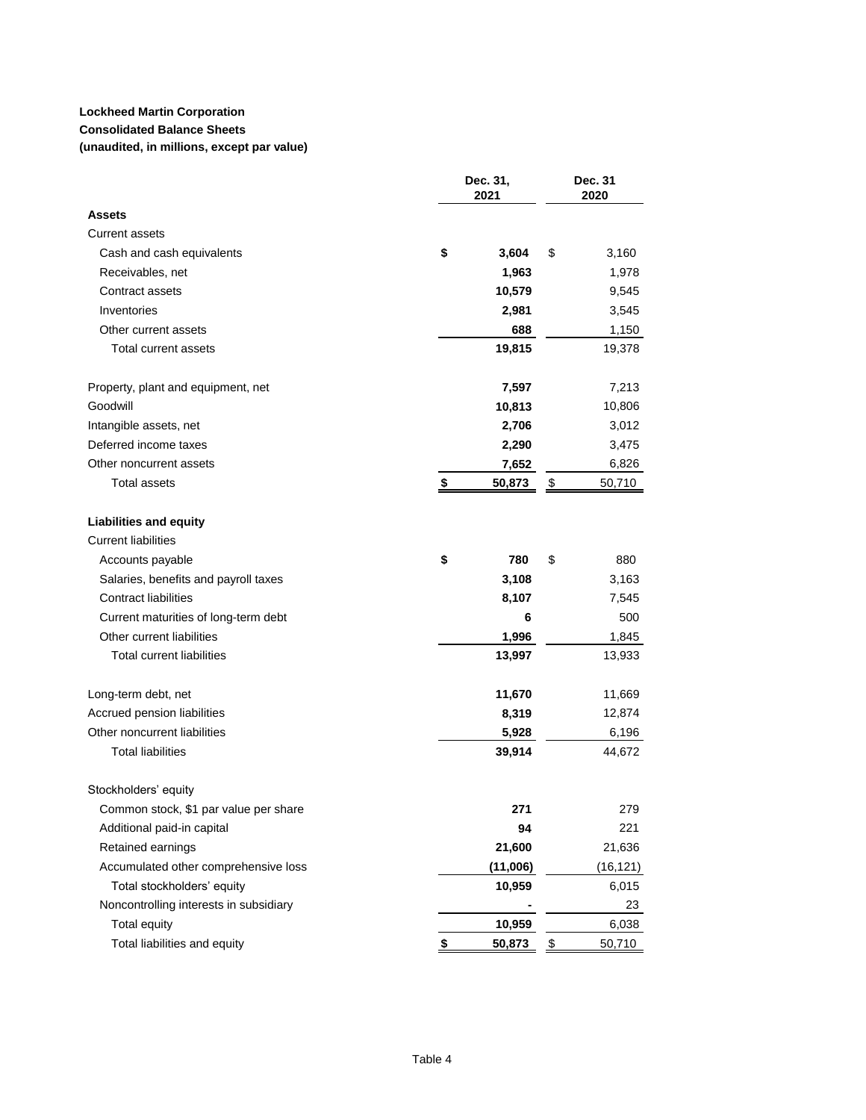# **Consolidated Balance Sheets**

**(unaudited, in millions, except par value)**

|                                        | Dec. 31,<br>2021 | Dec. 31<br>2020         |
|----------------------------------------|------------------|-------------------------|
| Assets                                 |                  |                         |
| <b>Current assets</b>                  |                  |                         |
| Cash and cash equivalents              | \$<br>3,604      | \$<br>3,160             |
| Receivables, net                       | 1,963            | 1,978                   |
| Contract assets                        | 10,579           | 9,545                   |
| Inventories                            | 2,981            | 3,545                   |
| Other current assets                   | 688              | 1,150                   |
| <b>Total current assets</b>            | 19,815           | 19,378                  |
| Property, plant and equipment, net     | 7,597            | 7,213                   |
| Goodwill                               | 10,813           | 10,806                  |
| Intangible assets, net                 | 2,706            | 3,012                   |
| Deferred income taxes                  | 2,290            | 3,475                   |
| Other noncurrent assets                | 7,652            | 6,826                   |
| <b>Total assets</b>                    | 50,873<br>\$     | $\frac{1}{2}$<br>50,710 |
| <b>Liabilities and equity</b>          |                  |                         |
| <b>Current liabilities</b>             |                  |                         |
| Accounts payable                       | \$<br>780        | \$<br>880               |
| Salaries, benefits and payroll taxes   | 3,108            | 3,163                   |
| <b>Contract liabilities</b>            | 8,107            | 7,545                   |
| Current maturities of long-term debt   | 6                | 500                     |
| Other current liabilities              | 1,996            | 1,845                   |
| <b>Total current liabilities</b>       | 13,997           | 13,933                  |
| Long-term debt, net                    | 11,670           | 11,669                  |
| Accrued pension liabilities            | 8,319            | 12,874                  |
| Other noncurrent liabilities           | 5,928            | 6,196                   |
| <b>Total liabilities</b>               | 39,914           | 44,672                  |
| Stockholders' equity                   |                  |                         |
| Common stock, \$1 par value per share  | 271              | 279                     |
| Additional paid-in capital             | 94               | 221                     |
| Retained earnings                      | 21,600           | 21,636                  |
| Accumulated other comprehensive loss   | (11,006)         | (16, 121)               |
| Total stockholders' equity             | 10,959           | 6,015                   |
| Noncontrolling interests in subsidiary |                  | 23                      |
| <b>Total equity</b>                    | 10,959           | 6,038                   |
| Total liabilities and equity           | \$<br>50,873     | $\frac{1}{2}$<br>50,710 |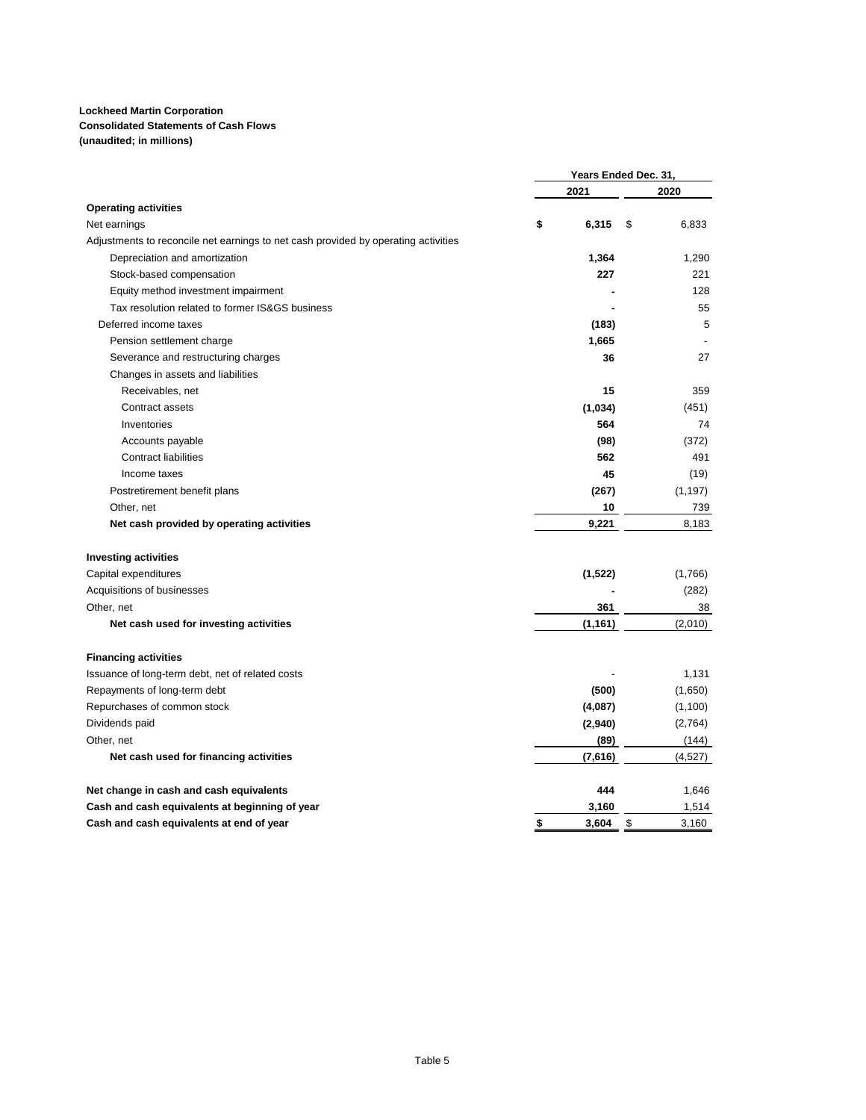## **Consolidated Statements of Cash Flows**

**(unaudited; in millions)**

|                                                                                    | Years Ended Dec. 31, |          |    |          |
|------------------------------------------------------------------------------------|----------------------|----------|----|----------|
|                                                                                    |                      | 2021     |    | 2020     |
| <b>Operating activities</b>                                                        |                      |          |    |          |
| Net earnings                                                                       | \$                   | 6,315    | \$ | 6,833    |
| Adjustments to reconcile net earnings to net cash provided by operating activities |                      |          |    |          |
| Depreciation and amortization                                                      |                      | 1,364    |    | 1,290    |
| Stock-based compensation                                                           |                      | 227      |    | 221      |
| Equity method investment impairment                                                |                      |          |    | 128      |
| Tax resolution related to former IS&GS business                                    |                      |          |    | 55       |
| Deferred income taxes                                                              |                      | (183)    |    | 5        |
| Pension settlement charge                                                          |                      | 1,665    |    |          |
| Severance and restructuring charges                                                |                      | 36       |    | 27       |
| Changes in assets and liabilities                                                  |                      |          |    |          |
| Receivables, net                                                                   |                      | 15       |    | 359      |
| Contract assets                                                                    |                      | (1,034)  |    | (451)    |
| Inventories                                                                        |                      | 564      |    | 74       |
| Accounts payable                                                                   |                      | (98)     |    | (372)    |
| <b>Contract liabilities</b>                                                        |                      | 562      |    | 491      |
| Income taxes                                                                       |                      | 45       |    | (19)     |
| Postretirement benefit plans                                                       |                      | (267)    |    | (1, 197) |
| Other, net                                                                         |                      | 10       |    | 739      |
| Net cash provided by operating activities                                          |                      | 9,221    |    | 8,183    |
| <b>Investing activities</b>                                                        |                      |          |    |          |
| Capital expenditures                                                               |                      | (1,522)  |    | (1,766)  |
| Acquisitions of businesses                                                         |                      |          |    | (282)    |
| Other, net                                                                         |                      | 361      |    | 38       |
| Net cash used for investing activities                                             |                      | (1, 161) |    | (2,010)  |
| <b>Financing activities</b>                                                        |                      |          |    |          |
| Issuance of long-term debt, net of related costs                                   |                      |          |    | 1,131    |
| Repayments of long-term debt                                                       |                      | (500)    |    | (1,650)  |
| Repurchases of common stock                                                        |                      | (4,087)  |    | (1,100)  |
| Dividends paid                                                                     |                      | (2,940)  |    | (2,764)  |
| Other, net                                                                         |                      | (89)     |    | (144)    |
| Net cash used for financing activities                                             |                      | (7,616)  |    | (4,527)  |
| Net change in cash and cash equivalents                                            |                      | 444      |    | 1,646    |
| Cash and cash equivalents at beginning of year                                     |                      | 3,160    |    | 1,514    |
| Cash and cash equivalents at end of year                                           | \$                   | 3,604    | \$ | 3,160    |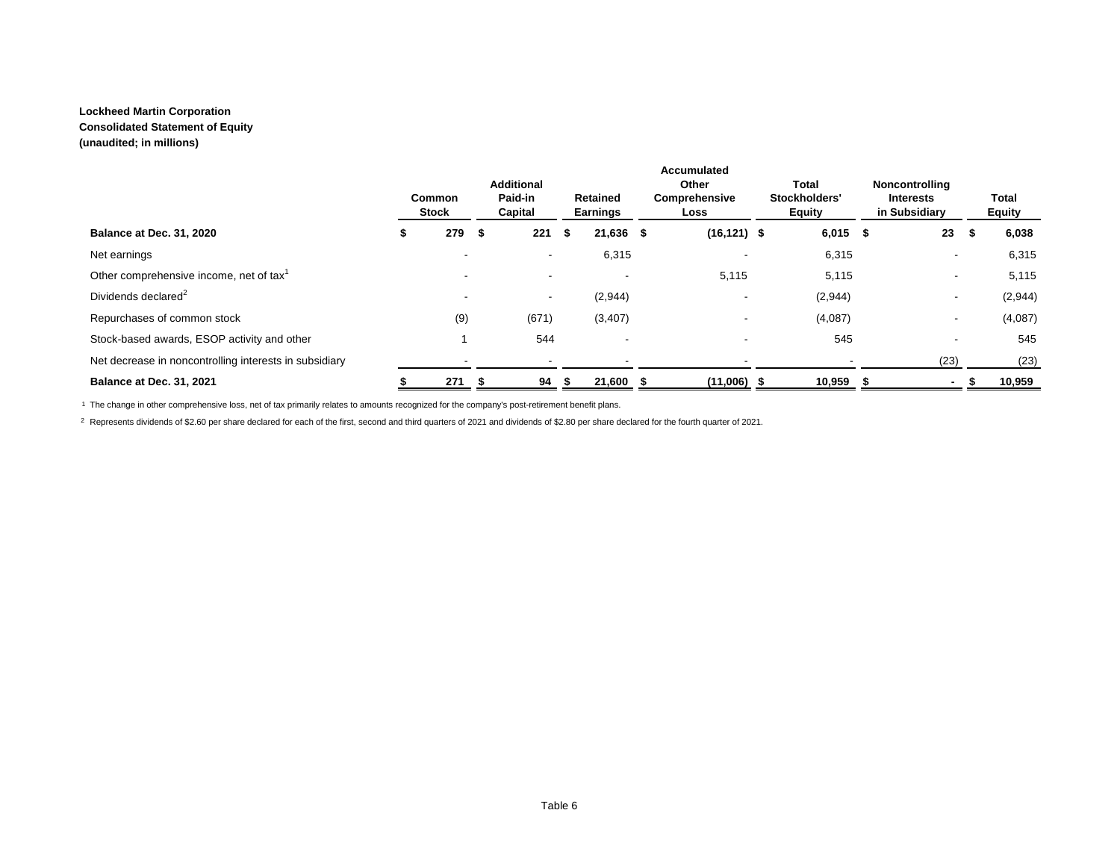**Consolidated Statement of Equity**

**(unaudited; in millions)**

|                                                        | Common<br><b>Stock</b> | <b>Additional</b><br>Paid-in<br>Capital |      | <b>Retained</b><br>Earnings | <b>Accumulated</b><br>Other<br>Comprehensive<br>Loss | Total<br>Stockholders'<br><b>Equity</b> | Noncontrolling<br><b>Interests</b><br>in Subsidiary |      | Total<br><b>Equity</b> |
|--------------------------------------------------------|------------------------|-----------------------------------------|------|-----------------------------|------------------------------------------------------|-----------------------------------------|-----------------------------------------------------|------|------------------------|
| Balance at Dec. 31, 2020                               | 279S                   | 221                                     | - \$ | $21,636$ \$                 | $(16, 121)$ \$                                       | $6,015$ \$                              | 23                                                  | - 11 | 6,038                  |
| Net earnings                                           |                        | $\overline{\phantom{a}}$                |      | 6,315                       |                                                      | 6,315                                   | ۰                                                   |      | 6,315                  |
| Other comprehensive income, net of tax <sup>1</sup>    |                        |                                         |      | $\overline{\phantom{a}}$    | 5,115                                                | 5,115                                   |                                                     |      | 5,115                  |
| Dividends declared <sup>2</sup>                        |                        | $\overline{\phantom{a}}$                |      | (2,944)                     |                                                      | (2,944)                                 | ۰                                                   |      | (2,944)                |
| Repurchases of common stock                            | (9)                    | (671)                                   |      | (3, 407)                    |                                                      | (4,087)                                 |                                                     |      | (4,087)                |
| Stock-based awards, ESOP activity and other            |                        | 544                                     |      |                             |                                                      | 545                                     |                                                     |      | 545                    |
| Net decrease in noncontrolling interests in subsidiary |                        |                                         |      |                             |                                                      |                                         | (23)                                                |      | (23)                   |
| Balance at Dec. 31, 2021                               | 271                    | 94                                      |      | 21,600                      | $(11,006)$ \$                                        | 10,959                                  |                                                     |      | 10,959                 |

1 The change in other comprehensive loss, net of tax primarily relates to amounts recognized for the company's post-retirement benefit plans.

2 Represents dividends of \$2.60 per share declared for each of the first, second and third quarters of 2021 and dividends of \$2.80 per share declared for the fourth quarter of 2021.